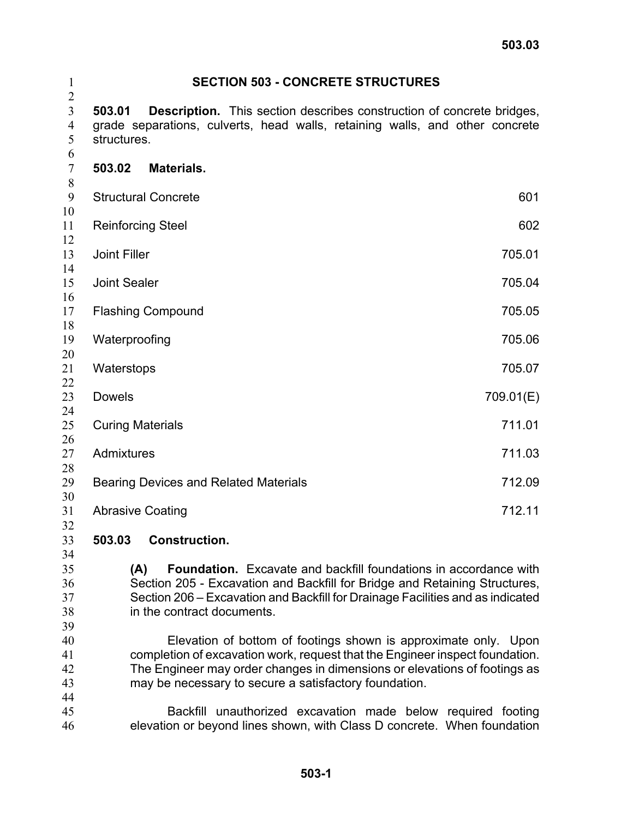| 1                                  | <b>SECTION 503 - CONCRETE STRUCTURES</b>                                                                                                                                                                                                                                              |           |
|------------------------------------|---------------------------------------------------------------------------------------------------------------------------------------------------------------------------------------------------------------------------------------------------------------------------------------|-----------|
| $\overline{2}$<br>3<br>4<br>5<br>6 | <b>Description.</b> This section describes construction of concrete bridges,<br>503.01<br>grade separations, culverts, head walls, retaining walls, and other concrete<br>structures.                                                                                                 |           |
| 7                                  | Materials.<br>503.02                                                                                                                                                                                                                                                                  |           |
| 8<br>9                             | <b>Structural Concrete</b>                                                                                                                                                                                                                                                            | 601       |
| 10<br>11<br>12                     | <b>Reinforcing Steel</b>                                                                                                                                                                                                                                                              | 602       |
| 13<br>14                           | <b>Joint Filler</b>                                                                                                                                                                                                                                                                   | 705.01    |
| 15<br>16                           | <b>Joint Sealer</b>                                                                                                                                                                                                                                                                   | 705.04    |
| 17<br>18                           | <b>Flashing Compound</b>                                                                                                                                                                                                                                                              | 705.05    |
| 19<br>20                           | Waterproofing                                                                                                                                                                                                                                                                         | 705.06    |
| 21<br>22                           | Waterstops                                                                                                                                                                                                                                                                            | 705.07    |
| 23<br>24                           | <b>Dowels</b>                                                                                                                                                                                                                                                                         | 709.01(E) |
| 25<br>26                           | <b>Curing Materials</b>                                                                                                                                                                                                                                                               | 711.01    |
| 27<br>28                           | Admixtures                                                                                                                                                                                                                                                                            | 711.03    |
| 29<br>30                           | <b>Bearing Devices and Related Materials</b>                                                                                                                                                                                                                                          | 712.09    |
| 31<br>32                           | <b>Abrasive Coating</b>                                                                                                                                                                                                                                                               | 712.11    |
| 33<br>34                           | 503.03<br><b>Construction.</b>                                                                                                                                                                                                                                                        |           |
| 35<br>36<br>37<br>38<br>39         | <b>Foundation.</b> Excavate and backfill foundations in accordance with<br>(A)<br>Section 205 - Excavation and Backfill for Bridge and Retaining Structures,<br>Section 206 – Excavation and Backfill for Drainage Facilities and as indicated<br>in the contract documents.          |           |
| 40<br>41<br>42<br>43               | Elevation of bottom of footings shown is approximate only. Upon<br>completion of excavation work, request that the Engineer inspect foundation.<br>The Engineer may order changes in dimensions or elevations of footings as<br>may be necessary to secure a satisfactory foundation. |           |
| 44<br>45<br>46                     | Backfill unauthorized excavation made below required footing<br>elevation or beyond lines shown, with Class D concrete. When foundation                                                                                                                                               |           |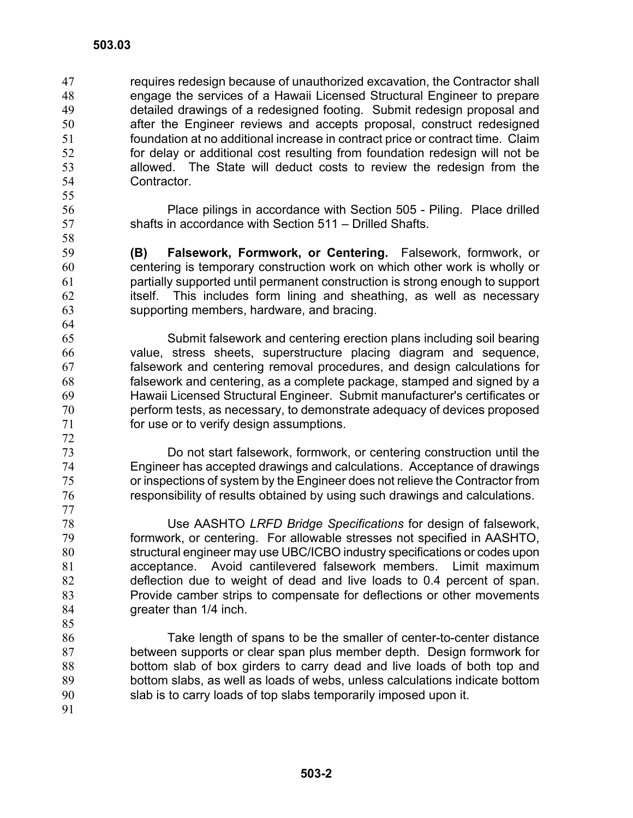requires redesign because of unauthorized excavation, the Contractor shall engage the services of a Hawaii Licensed Structural Engineer to prepare detailed drawings of a redesigned footing. Submit redesign proposal and after the Engineer reviews and accepts proposal, construct redesigned foundation at no additional increase in contract price or contract time. Claim for delay or additional cost resulting from foundation redesign will not be allowed. The State will deduct costs to review the redesign from the Contractor. 47 48 49 50 51 52 53 54

- Place pilings in accordance with Section 505 Piling. Place drilled shafts in accordance with Section 511 – Drilled Shafts.
- **(B) Falsework, Formwork, or Centering.** Falsework, formwork, or centering is temporary construction work on which other work is wholly or partially supported until permanent construction is strong enough to support itself. This includes form lining and sheathing, as well as necessary supporting members, hardware, and bracing.
- 65 66 67 68 69 70 71 72 Submit falsework and centering erection plans including soil bearing value, stress sheets, superstructure placing diagram and sequence, falsework and centering removal procedures, and design calculations for falsework and centering, as a complete package, stamped and signed by a Hawaii Licensed Structural Engineer. Submit manufacturer's certificates or perform tests, as necessary, to demonstrate adequacy of devices proposed for use or to verify design assumptions.
- 73 74 75 76 Do not start falsework, formwork, or centering construction until the Engineer has accepted drawings and calculations. Acceptance of drawings or inspections of system by the Engineer does not relieve the Contractor from responsibility of results obtained by using such drawings and calculations.
- 78 79 80 81 82 83 84 Use AASHTO *LRFD Bridge Specifications* for design of falsework, formwork, or centering. For allowable stresses not specified in AASHTO, structural engineer may use UBC/ICBO industry specifications or codes upon acceptance. Avoid cantilevered falsework members. Limit maximum deflection due to weight of dead and live loads to 0.4 percent of span. Provide camber strips to compensate for deflections or other movements greater than 1/4 inch.
- 86 87 88 89 90 Take length of spans to be the smaller of center-to-center distance between supports or clear span plus member depth. Design formwork for bottom slab of box girders to carry dead and live loads of both top and bottom slabs, as well as loads of webs, unless calculations indicate bottom slab is to carry loads of top slabs temporarily imposed upon it.
- 91

85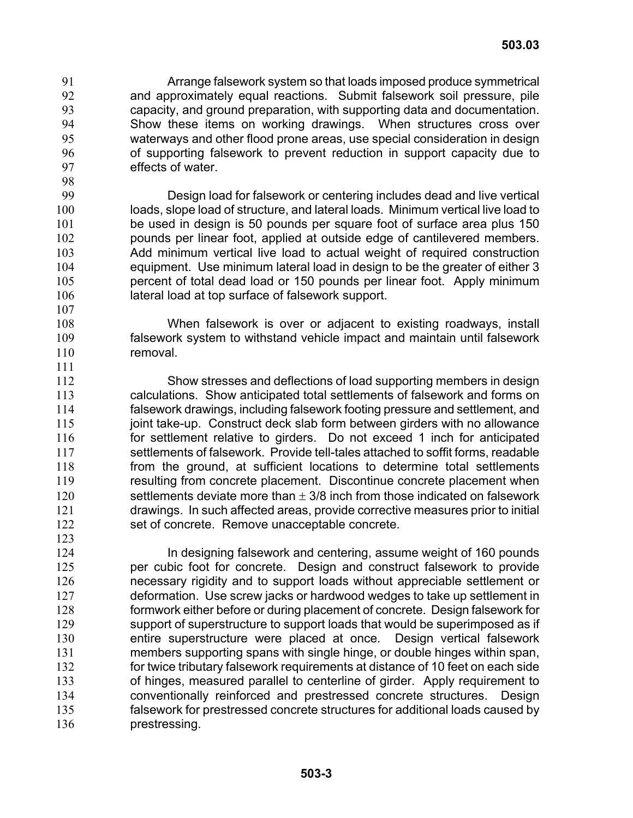Arrange falsework system so that loads imposed produce symmetrical and approximately equal reactions. Submit falsework soil pressure, pile capacity, and ground preparation, with supporting data and documentation. Show these items on working drawings. When structures cross over waterways and other flood prone areas, use special consideration in design of supporting falsework to prevent reduction in support capacity due to effects of water. 91 92 93 94 95 96 97

98

107

111

123

99 100 101 102 103 104 105 106 Design load for falsework or centering includes dead and live vertical loads, slope load of structure, and lateral loads. Minimum vertical live load to be used in design is 50 pounds per square foot of surface area plus 150 pounds per linear foot, applied at outside edge of cantilevered members. Add minimum vertical live load to actual weight of required construction equipment. Use minimum lateral load in design to be the greater of either 3 percent of total dead load or 150 pounds per linear foot. Apply minimum lateral load at top surface of falsework support.

108 109 110 When falsework is over or adjacent to existing roadways, install falsework system to withstand vehicle impact and maintain until falsework removal.

112 113 114 115 116 117 118 119 120 121 122 Show stresses and deflections of load supporting members in design calculations. Show anticipated total settlements of falsework and forms on falsework drawings, including falsework footing pressure and settlement, and joint take-up. Construct deck slab form between girders with no allowance for settlement relative to girders. Do not exceed 1 inch for anticipated settlements of falsework. Provide tell-tales attached to soffit forms, readable from the ground, at sufficient locations to determine total settlements resulting from concrete placement. Discontinue concrete placement when settlements deviate more than  $\pm$  3/8 inch from those indicated on falsework drawings. In such affected areas, provide corrective measures prior to initial set of concrete. Remove unacceptable concrete.

124 125 126 127 128 129 130 131 132 133 134 135 136 In designing falsework and centering, assume weight of 160 pounds per cubic foot for concrete. Design and construct falsework to provide necessary rigidity and to support loads without appreciable settlement or deformation. Use screw jacks or hardwood wedges to take up settlement in formwork either before or during placement of concrete. Design falsework for support of superstructure to support loads that would be superimposed as if entire superstructure were placed at once. Design vertical falsework members supporting spans with single hinge, or double hinges within span, for twice tributary falsework requirements at distance of 10 feet on each side of hinges, measured parallel to centerline of girder. Apply requirement to conventionally reinforced and prestressed concrete structures. Design falsework for prestressed concrete structures for additional loads caused by prestressing.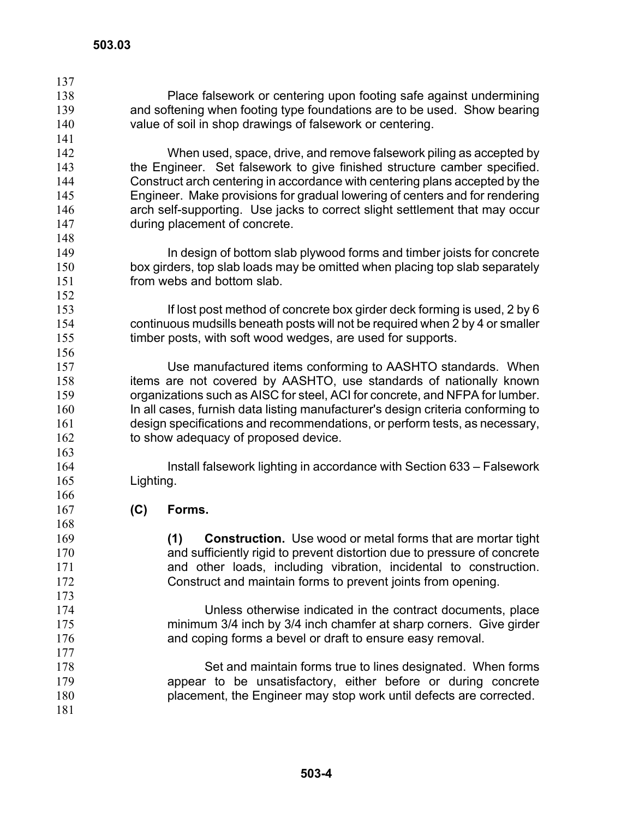138 139 140 141 Place falsework or centering upon footing safe against undermining and softening when footing type foundations are to be used. Show bearing value of soil in shop drawings of falsework or centering.

142 143 144 145 146 147 When used, space, drive, and remove falsework piling as accepted by the Engineer. Set falsework to give finished structure camber specified. Construct arch centering in accordance with centering plans accepted by the Engineer. Make provisions for gradual lowering of centers and for rendering arch self-supporting. Use jacks to correct slight settlement that may occur during placement of concrete.

In design of bottom slab plywood forms and timber joists for concrete box girders, top slab loads may be omitted when placing top slab separately from webs and bottom slab.

If lost post method of concrete box girder deck forming is used, 2 by 6 continuous mudsills beneath posts will not be required when 2 by 4 or smaller timber posts, with soft wood wedges, are used for supports.

157 158 159 160 161 162 Use manufactured items conforming to AASHTO standards. When items are not covered by AASHTO, use standards of nationally known organizations such as AISC for steel, ACI for concrete, and NFPA for lumber. In all cases, furnish data listing manufacturer's design criteria conforming to design specifications and recommendations, or perform tests, as necessary, to show adequacy of proposed device.

> Install falsework lighting in accordance with Section 633 – Falsework Lighting.

**(C) Forms.** 

169 170 171 172 173 174 175 176 177 178 179 180 **(1) Construction.** Use wood or metal forms that are mortar tight and sufficiently rigid to prevent distortion due to pressure of concrete and other loads, including vibration, incidental to construction. Construct and maintain forms to prevent joints from opening. Unless otherwise indicated in the contract documents, place minimum 3/4 inch by 3/4 inch chamfer at sharp corners. Give girder and coping forms a bevel or draft to ensure easy removal. Set and maintain forms true to lines designated. When forms appear to be unsatisfactory, either before or during concrete placement, the Engineer may stop work until defects are corrected.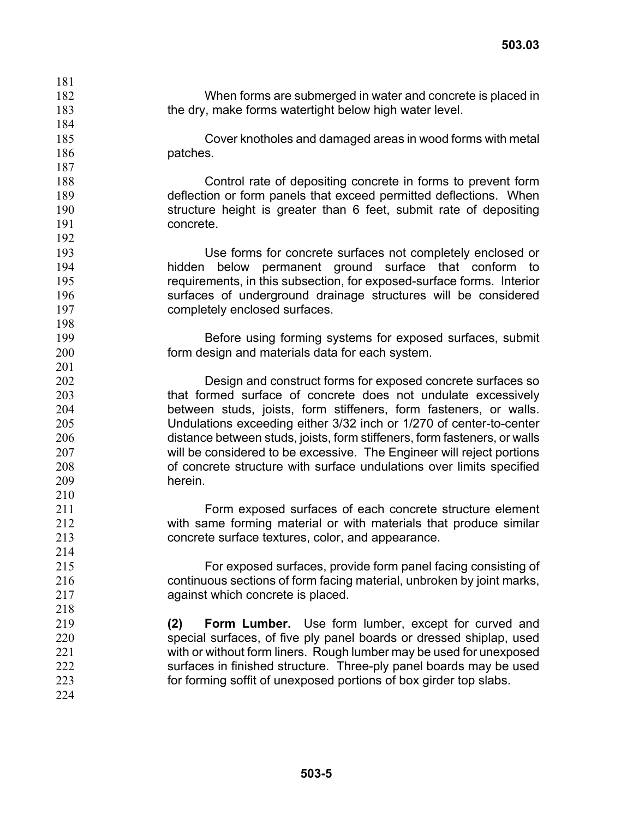182 183 184 185 186 187 188 189 190 191 192 193 194 195 196 197 198 199 200 201 202 203 204 205 206 207 208 209 210 211 212 213 214 215 216 217 218 219 220 221 222 223 224 When forms are submerged in water and concrete is placed in the dry, make forms watertight below high water level. Cover knotholes and damaged areas in wood forms with metal patches. Control rate of depositing concrete in forms to prevent form deflection or form panels that exceed permitted deflections. When structure height is greater than 6 feet, submit rate of depositing concrete. Use forms for concrete surfaces not completely enclosed or hidden below permanent ground surface that conform to requirements, in this subsection, for exposed-surface forms. Interior surfaces of underground drainage structures will be considered completely enclosed surfaces. Before using forming systems for exposed surfaces, submit form design and materials data for each system. Design and construct forms for exposed concrete surfaces so that formed surface of concrete does not undulate excessively between studs, joists, form stiffeners, form fasteners, or walls. Undulations exceeding either 3/32 inch or 1/270 of center-to-center distance between studs, joists, form stiffeners, form fasteners, or walls will be considered to be excessive. The Engineer will reject portions of concrete structure with surface undulations over limits specified herein. Form exposed surfaces of each concrete structure element with same forming material or with materials that produce similar concrete surface textures, color, and appearance. For exposed surfaces, provide form panel facing consisting of continuous sections of form facing material, unbroken by joint marks, against which concrete is placed. **(2) Form Lumber.** Use form lumber, except for curved and special surfaces, of five ply panel boards or dressed shiplap, used with or without form liners. Rough lumber may be used for unexposed surfaces in finished structure. Three-ply panel boards may be used for forming soffit of unexposed portions of box girder top slabs.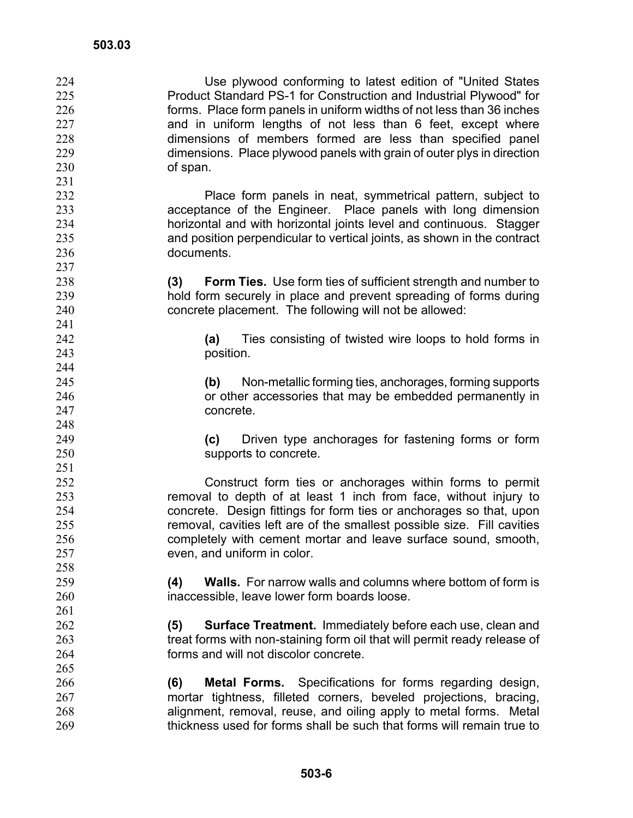| 224 | Use plywood conforming to latest edition of "United States"                 |
|-----|-----------------------------------------------------------------------------|
| 225 | Product Standard PS-1 for Construction and Industrial Plywood" for          |
| 226 | forms. Place form panels in uniform widths of not less than 36 inches       |
| 227 | and in uniform lengths of not less than 6 feet, except where                |
| 228 | dimensions of members formed are less than specified panel                  |
| 229 | dimensions. Place plywood panels with grain of outer plys in direction      |
| 230 | of span.                                                                    |
| 231 |                                                                             |
| 232 | Place form panels in neat, symmetrical pattern, subject to                  |
| 233 | acceptance of the Engineer. Place panels with long dimension                |
| 234 | horizontal and with horizontal joints level and continuous. Stagger         |
| 235 | and position perpendicular to vertical joints, as shown in the contract     |
| 236 | documents.                                                                  |
| 237 |                                                                             |
| 238 | <b>Form Ties.</b> Use form ties of sufficient strength and number to<br>(3) |
| 239 | hold form securely in place and prevent spreading of forms during           |
| 240 |                                                                             |
| 241 | concrete placement. The following will not be allowed:                      |
|     |                                                                             |
| 242 | Ties consisting of twisted wire loops to hold forms in<br>(a)               |
| 243 | position.                                                                   |
| 244 |                                                                             |
| 245 | Non-metallic forming ties, anchorages, forming supports<br>(b)              |
| 246 | or other accessories that may be embedded permanently in                    |
| 247 | concrete.                                                                   |
| 248 |                                                                             |
| 249 | Driven type anchorages for fastening forms or form<br>(c)                   |
| 250 | supports to concrete.                                                       |
| 251 |                                                                             |
| 252 | Construct form ties or anchorages within forms to permit                    |
| 253 | removal to depth of at least 1 inch from face, without injury to            |
| 254 | concrete. Design fittings for form ties or anchorages so that, upon         |
| 255 | removal, cavities left are of the smallest possible size. Fill cavities     |
| 256 | completely with cement mortar and leave surface sound, smooth,              |
| 257 | even, and uniform in color.                                                 |
| 258 |                                                                             |
| 259 | <b>Walls.</b> For narrow walls and columns where bottom of form is<br>(4)   |
| 260 | inaccessible, leave lower form boards loose.                                |
| 261 |                                                                             |
| 262 | <b>Surface Treatment.</b> Immediately before each use, clean and<br>(5)     |
| 263 | treat forms with non-staining form oil that will permit ready release of    |
| 264 | forms and will not discolor concrete.                                       |
| 265 |                                                                             |
| 266 | Metal Forms. Specifications for forms regarding design,<br>(6)              |
| 267 | mortar tightness, filleted corners, beveled projections, bracing,           |
| 268 | alignment, removal, reuse, and oiling apply to metal forms. Metal           |
| 269 | thickness used for forms shall be such that forms will remain true to       |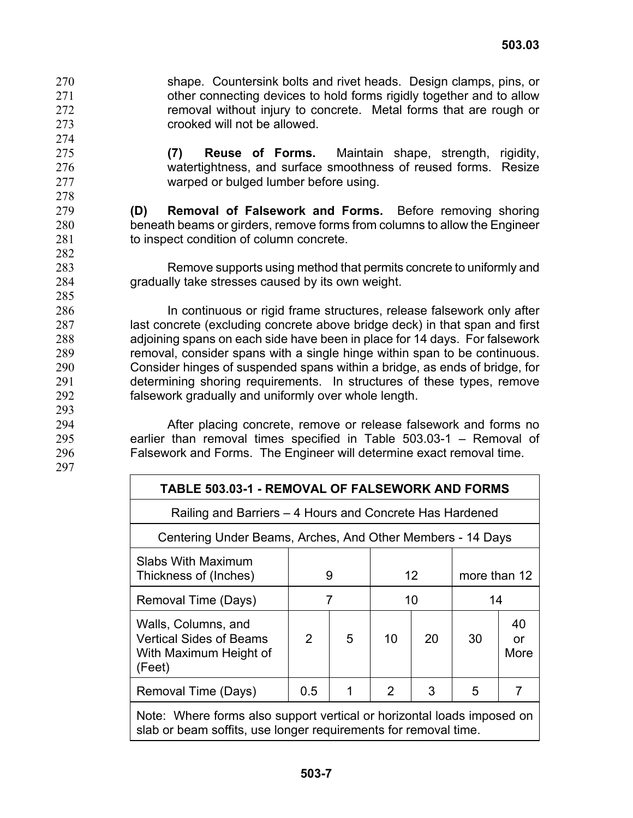- shape. Countersink bolts and rivet heads. Design clamps, pins, or other connecting devices to hold forms rigidly together and to allow removal without injury to concrete. Metal forms that are rough or crooked will not be allowed.
	- **(7) Reuse of Forms.** Maintain shape, strength, rigidity, watertightness, and surface smoothness of reused forms. Resize warped or bulged lumber before using.

**(D) Removal of Falsework and Forms.** Before removing shoring beneath beams or girders, remove forms from columns to allow the Engineer to inspect condition of column concrete.

Remove supports using method that permits concrete to uniformly and gradually take stresses caused by its own weight.

In continuous or rigid frame structures, release falsework only after last concrete (excluding concrete above bridge deck) in that span and first adjoining spans on each side have been in place for 14 days. For falsework removal, consider spans with a single hinge within span to be continuous. Consider hinges of suspended spans within a bridge, as ends of bridge, for determining shoring requirements. In structures of these types, remove falsework gradually and uniformly over whole length.

292 293 294

> After placing concrete, remove or release falsework and forms no earlier than removal times specified in Table 503.03-1 – Removal of Falsework and Forms. The Engineer will determine exact removal time.

| 29<br>h        |  |
|----------------|--|
| Y′<br>$\prime$ |  |

| <b>TABLE 503.03-1 - REMOVAL OF FALSEWORK AND FORMS</b>                                                                                    |                                                            |   |                 |    |              |                  |
|-------------------------------------------------------------------------------------------------------------------------------------------|------------------------------------------------------------|---|-----------------|----|--------------|------------------|
| Railing and Barriers – 4 Hours and Concrete Has Hardened                                                                                  |                                                            |   |                 |    |              |                  |
|                                                                                                                                           | Centering Under Beams, Arches, And Other Members - 14 Days |   |                 |    |              |                  |
| Slabs With Maximum<br>Thickness of (Inches)                                                                                               | 9                                                          |   | 12 <sup>2</sup> |    | more than 12 |                  |
| Removal Time (Days)                                                                                                                       | 7                                                          |   | 10              |    | 14           |                  |
| Walls, Columns, and<br><b>Vertical Sides of Beams</b><br>With Maximum Height of<br>(Feet)                                                 | 2                                                          | 5 | 10              | 20 | 30           | 40<br>or<br>More |
| Removal Time (Days)                                                                                                                       | 0.5                                                        | 1 | 2               | 3  | 5            | 7                |
| Note: Where forms also support vertical or horizontal loads imposed on<br>slab or beam soffits, use longer requirements for removal time. |                                                            |   |                 |    |              |                  |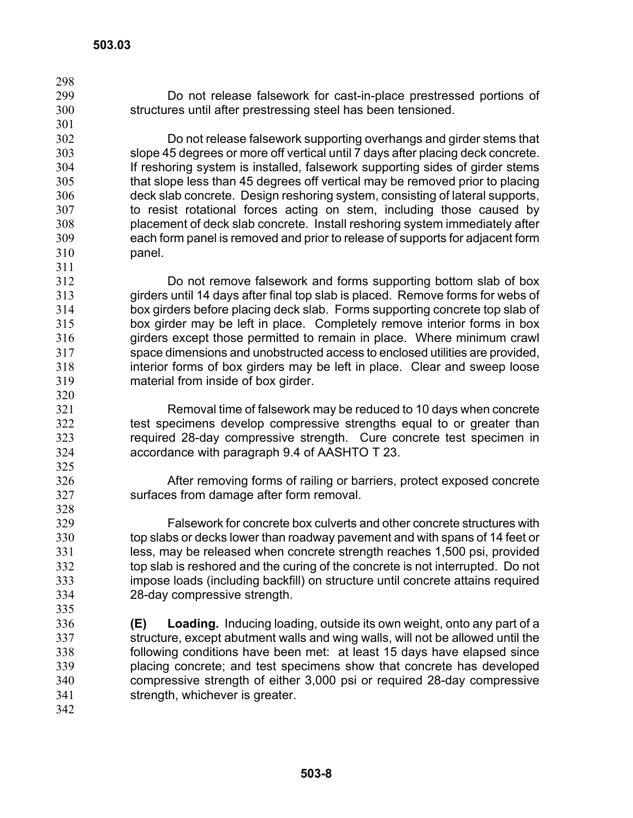300 301

320

Do not release falsework for cast-in-place prestressed portions of structures until after prestressing steel has been tensioned.

302 303 304 305 306 307 308 309 310 311 Do not release falsework supporting overhangs and girder stems that slope 45 degrees or more off vertical until 7 days after placing deck concrete. If reshoring system is installed, falsework supporting sides of girder stems that slope less than 45 degrees off vertical may be removed prior to placing deck slab concrete. Design reshoring system, consisting of lateral supports, to resist rotational forces acting on stem, including those caused by placement of deck slab concrete. Install reshoring system immediately after each form panel is removed and prior to release of supports for adjacent form panel.

312 313 314 315 316 317 318 319 Do not remove falsework and forms supporting bottom slab of box girders until 14 days after final top slab is placed. Remove forms for webs of box girders before placing deck slab. Forms supporting concrete top slab of box girder may be left in place. Completely remove interior forms in box girders except those permitted to remain in place. Where minimum crawl space dimensions and unobstructed access to enclosed utilities are provided, interior forms of box girders may be left in place. Clear and sweep loose material from inside of box girder.

321 322 323 324 Removal time of falsework may be reduced to 10 days when concrete test specimens develop compressive strengths equal to or greater than required 28-day compressive strength. Cure concrete test specimen in accordance with paragraph 9.4 of AASHTO T 23.

After removing forms of railing or barriers, protect exposed concrete surfaces from damage after form removal.

Falsework for concrete box culverts and other concrete structures with top slabs or decks lower than roadway pavement and with spans of 14 feet or less, may be released when concrete strength reaches 1,500 psi, provided top slab is reshored and the curing of the concrete is not interrupted. Do not impose loads (including backfill) on structure until concrete attains required 28-day compressive strength.

- 336 337 338 339 340 341 **(E) Loading.** Inducing loading, outside its own weight, onto any part of a structure, except abutment walls and wing walls, will not be allowed until the following conditions have been met: at least 15 days have elapsed since placing concrete; and test specimens show that concrete has developed compressive strength of either 3,000 psi or required 28-day compressive strength, whichever is greater.
- 342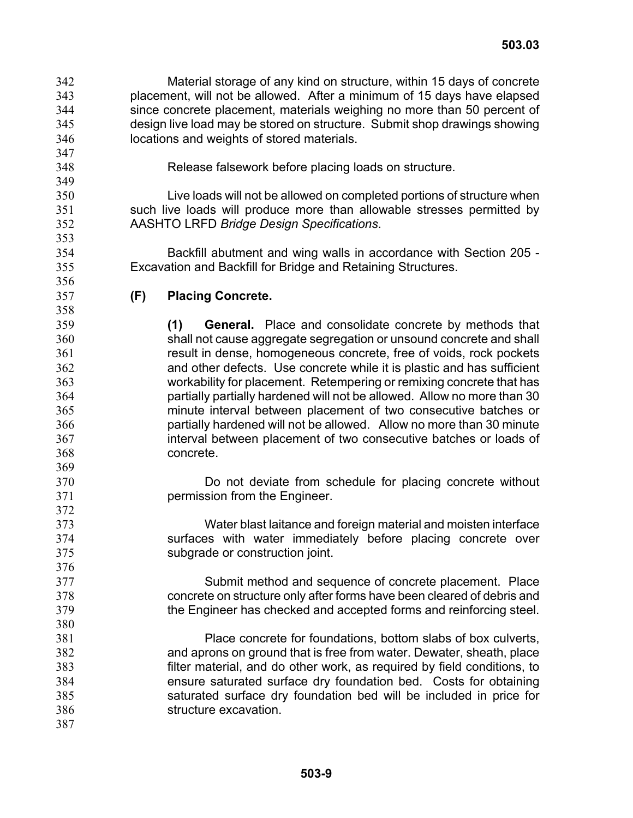Material storage of any kind on structure, within 15 days of concrete placement, will not be allowed. After a minimum of 15 days have elapsed since concrete placement, materials weighing no more than 50 percent of design live load may be stored on structure. Submit shop drawings showing locations and weights of stored materials. 342 343 344 345 346 347 348 349 350 351 352 353 354 355 356 357 358 359 360 361 362 363 364 365 366 367 368 369 370 371 372 373 374 375 376 377 378 379 380 381 382 383 384 385 386 387 Release falsework before placing loads on structure. Live loads will not be allowed on completed portions of structure when such live loads will produce more than allowable stresses permitted by AASHTO LRFD *Bridge Design Specifications*. Backfill abutment and wing walls in accordance with Section 205 - Excavation and Backfill for Bridge and Retaining Structures. **(F) Placing Concrete. (1) General.** Place and consolidate concrete by methods that shall not cause aggregate segregation or unsound concrete and shall result in dense, homogeneous concrete, free of voids, rock pockets and other defects. Use concrete while it is plastic and has sufficient workability for placement. Retempering or remixing concrete that has partially partially hardened will not be allowed. Allow no more than 30 minute interval between placement of two consecutive batches or partially hardened will not be allowed. Allow no more than 30 minute interval between placement of two consecutive batches or loads of concrete. Do not deviate from schedule for placing concrete without permission from the Engineer. Water blast laitance and foreign material and moisten interface surfaces with water immediately before placing concrete over subgrade or construction joint. Submit method and sequence of concrete placement. Place concrete on structure only after forms have been cleared of debris and the Engineer has checked and accepted forms and reinforcing steel. Place concrete for foundations, bottom slabs of box culverts, and aprons on ground that is free from water. Dewater, sheath, place filter material, and do other work, as required by field conditions, to ensure saturated surface dry foundation bed. Costs for obtaining saturated surface dry foundation bed will be included in price for structure excavation.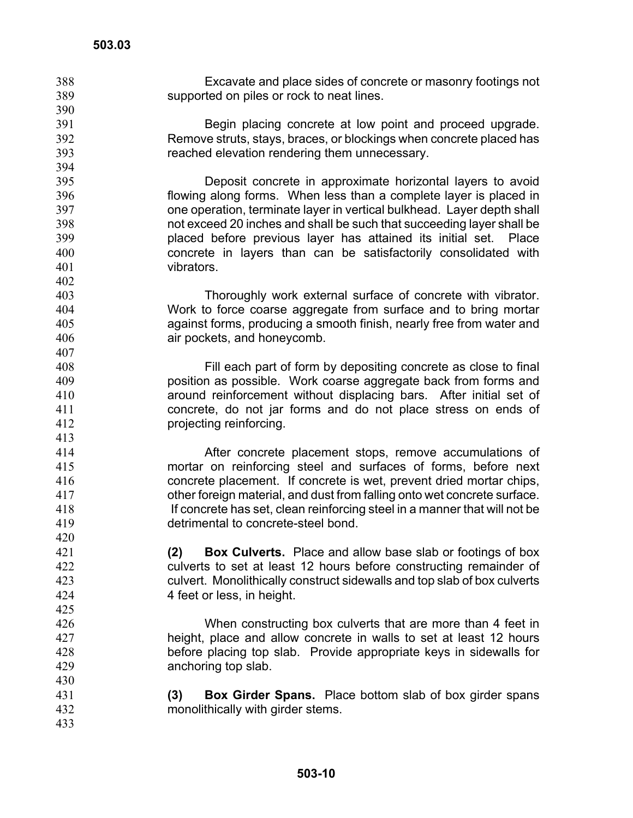- Excavate and place sides of concrete or masonry footings not supported on piles or rock to neat lines.
- 390 391 392

Begin placing concrete at low point and proceed upgrade. Remove struts, stays, braces, or blockings when concrete placed has reached elevation rendering them unnecessary.

Deposit concrete in approximate horizontal layers to avoid flowing along forms. When less than a complete layer is placed in one operation, terminate layer in vertical bulkhead. Layer depth shall not exceed 20 inches and shall be such that succeeding layer shall be placed before previous layer has attained its initial set. Place concrete in layers than can be satisfactorily consolidated with vibrators.

Thoroughly work external surface of concrete with vibrator. Work to force coarse aggregate from surface and to bring mortar against forms, producing a smooth finish, nearly free from water and air pockets, and honeycomb.

Fill each part of form by depositing concrete as close to final position as possible. Work coarse aggregate back from forms and around reinforcement without displacing bars. After initial set of concrete, do not jar forms and do not place stress on ends of projecting reinforcing.

- After concrete placement stops, remove accumulations of mortar on reinforcing steel and surfaces of forms, before next concrete placement. If concrete is wet, prevent dried mortar chips, other foreign material, and dust from falling onto wet concrete surface. If concrete has set, clean reinforcing steel in a manner that will not be detrimental to concrete-steel bond.
	- **(2) Box Culverts.** Place and allow base slab or footings of box culverts to set at least 12 hours before constructing remainder of culvert. Monolithically construct sidewalls and top slab of box culverts 4 feet or less, in height.
		- When constructing box culverts that are more than 4 feet in height, place and allow concrete in walls to set at least 12 hours before placing top slab. Provide appropriate keys in sidewalls for anchoring top slab.
	- **(3) Box Girder Spans.** Place bottom slab of box girder spans monolithically with girder stems.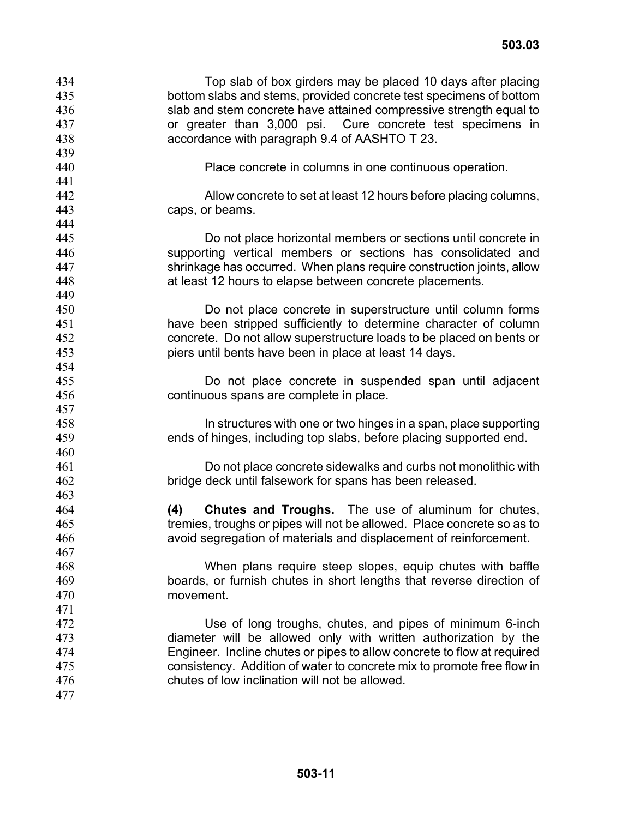Top slab of box girders may be placed 10 days after placing bottom slabs and stems, provided concrete test specimens of bottom slab and stem concrete have attained compressive strength equal to or greater than 3,000 psi. Cure concrete test specimens in accordance with paragraph 9.4 of AASHTO T 23. 434 435 436 437 438 439 440 441 442 443 444 445 446 447 448 449 450 451 452 453 454 455 456 457 458 459 460 461 462 463 464 465 466 467 468 469 470 471 472 473 474 475 476 477 Place concrete in columns in one continuous operation. Allow concrete to set at least 12 hours before placing columns, caps, or beams. Do not place horizontal members or sections until concrete in supporting vertical members or sections has consolidated and shrinkage has occurred. When plans require construction joints, allow at least 12 hours to elapse between concrete placements. Do not place concrete in superstructure until column forms have been stripped sufficiently to determine character of column concrete. Do not allow superstructure loads to be placed on bents or piers until bents have been in place at least 14 days. Do not place concrete in suspended span until adjacent continuous spans are complete in place. In structures with one or two hinges in a span, place supporting ends of hinges, including top slabs, before placing supported end. Do not place concrete sidewalks and curbs not monolithic with bridge deck until falsework for spans has been released. **(4) Chutes and Troughs.** The use of aluminum for chutes, tremies, troughs or pipes will not be allowed. Place concrete so as to avoid segregation of materials and displacement of reinforcement. When plans require steep slopes, equip chutes with baffle boards, or furnish chutes in short lengths that reverse direction of movement. Use of long troughs, chutes, and pipes of minimum 6-inch diameter will be allowed only with written authorization by the Engineer. Incline chutes or pipes to allow concrete to flow at required consistency. Addition of water to concrete mix to promote free flow in chutes of low inclination will not be allowed.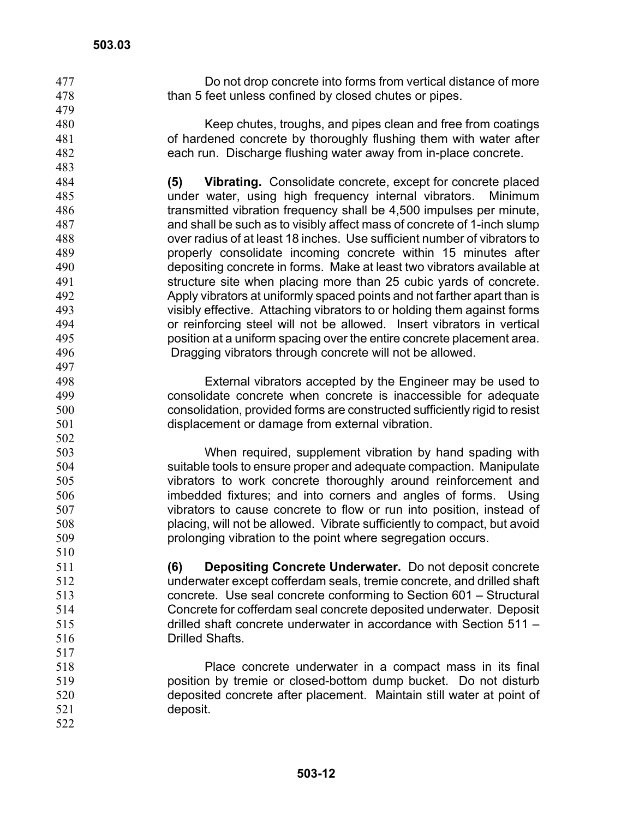Do not drop concrete into forms from vertical distance of more than 5 feet unless confined by closed chutes or pipes.

Keep chutes, troughs, and pipes clean and free from coatings of hardened concrete by thoroughly flushing them with water after each run. Discharge flushing water away from in-place concrete.

484 485 486 487 488 489 490 491 492 493 494 495 496 497 **(5) Vibrating.** Consolidate concrete, except for concrete placed under water, using high frequency internal vibrators. Minimum transmitted vibration frequency shall be 4,500 impulses per minute, and shall be such as to visibly affect mass of concrete of 1-inch slump over radius of at least 18 inches. Use sufficient number of vibrators to properly consolidate incoming concrete within 15 minutes after depositing concrete in forms. Make at least two vibrators available at structure site when placing more than 25 cubic yards of concrete. Apply vibrators at uniformly spaced points and not farther apart than is visibly effective. Attaching vibrators to or holding them against forms or reinforcing steel will not be allowed. Insert vibrators in vertical position at a uniform spacing over the entire concrete placement area. Dragging vibrators through concrete will not be allowed.

> External vibrators accepted by the Engineer may be used to consolidate concrete when concrete is inaccessible for adequate consolidation, provided forms are constructed sufficiently rigid to resist displacement or damage from external vibration.

When required, supplement vibration by hand spading with suitable tools to ensure proper and adequate compaction. Manipulate vibrators to work concrete thoroughly around reinforcement and imbedded fixtures; and into corners and angles of forms. Using vibrators to cause concrete to flow or run into position, instead of placing, will not be allowed. Vibrate sufficiently to compact, but avoid prolonging vibration to the point where segregation occurs.

**(6) Depositing Concrete Underwater.** Do not deposit concrete underwater except cofferdam seals, tremie concrete, and drilled shaft concrete. Use seal concrete conforming to Section 601 – Structural Concrete for cofferdam seal concrete deposited underwater. Deposit drilled shaft concrete underwater in accordance with Section 511 – Drilled Shafts.

518 519 520 521 522 Place concrete underwater in a compact mass in its final position by tremie or closed-bottom dump bucket. Do not disturb deposited concrete after placement. Maintain still water at point of deposit.

 **503-12**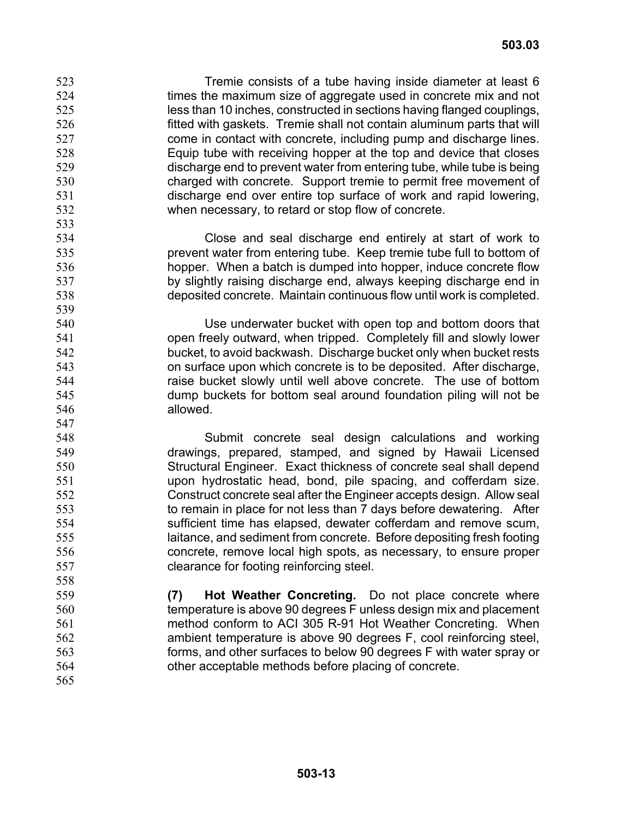Tremie consists of a tube having inside diameter at least 6 times the maximum size of aggregate used in concrete mix and not less than 10 inches, constructed in sections having flanged couplings, fitted with gaskets. Tremie shall not contain aluminum parts that will come in contact with concrete, including pump and discharge lines. Equip tube with receiving hopper at the top and device that closes discharge end to prevent water from entering tube, while tube is being charged with concrete. Support tremie to permit free movement of discharge end over entire top surface of work and rapid lowering, when necessary, to retard or stop flow of concrete.

Close and seal discharge end entirely at start of work to prevent water from entering tube. Keep tremie tube full to bottom of hopper. When a batch is dumped into hopper, induce concrete flow by slightly raising discharge end, always keeping discharge end in deposited concrete. Maintain continuous flow until work is completed.

Use underwater bucket with open top and bottom doors that open freely outward, when tripped. Completely fill and slowly lower bucket, to avoid backwash. Discharge bucket only when bucket rests on surface upon which concrete is to be deposited. After discharge, raise bucket slowly until well above concrete. The use of bottom dump buckets for bottom seal around foundation piling will not be allowed.

Submit concrete seal design calculations and working drawings, prepared, stamped, and signed by Hawaii Licensed Structural Engineer. Exact thickness of concrete seal shall depend upon hydrostatic head, bond, pile spacing, and cofferdam size. Construct concrete seal after the Engineer accepts design. Allow seal to remain in place for not less than 7 days before dewatering. After sufficient time has elapsed, dewater cofferdam and remove scum, laitance, and sediment from concrete. Before depositing fresh footing concrete, remove local high spots, as necessary, to ensure proper clearance for footing reinforcing steel.

**(7) Hot Weather Concreting.** Do not place concrete where temperature is above 90 degrees F unless design mix and placement method conform to ACI 305 R-91 Hot Weather Concreting. When ambient temperature is above 90 degrees F, cool reinforcing steel, forms, and other surfaces to below 90 degrees F with water spray or other acceptable methods before placing of concrete.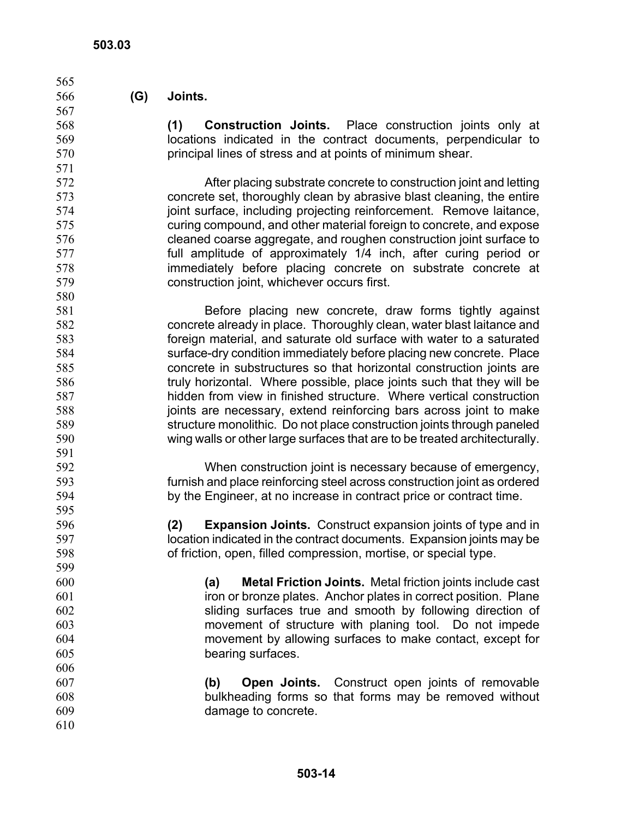**(G) Joints.** 

**(1) Construction Joints.** Place construction joints only at locations indicated in the contract documents, perpendicular to principal lines of stress and at points of minimum shear.

After placing substrate concrete to construction joint and letting concrete set, thoroughly clean by abrasive blast cleaning, the entire joint surface, including projecting reinforcement. Remove laitance, curing compound, and other material foreign to concrete, and expose cleaned coarse aggregate, and roughen construction joint surface to full amplitude of approximately 1/4 inch, after curing period or immediately before placing concrete on substrate concrete at construction joint, whichever occurs first.

Before placing new concrete, draw forms tightly against concrete already in place. Thoroughly clean, water blast laitance and foreign material, and saturate old surface with water to a saturated surface-dry condition immediately before placing new concrete. Place concrete in substructures so that horizontal construction joints are truly horizontal. Where possible, place joints such that they will be hidden from view in finished structure. Where vertical construction joints are necessary, extend reinforcing bars across joint to make structure monolithic. Do not place construction joints through paneled wing walls or other large surfaces that are to be treated architecturally.

> When construction joint is necessary because of emergency, furnish and place reinforcing steel across construction joint as ordered by the Engineer, at no increase in contract price or contract time.

**(2) Expansion Joints.** Construct expansion joints of type and in location indicated in the contract documents. Expansion joints may be of friction, open, filled compression, mortise, or special type.

**(a) Metal Friction Joints.** Metal friction joints include cast iron or bronze plates. Anchor plates in correct position. Plane sliding surfaces true and smooth by following direction of movement of structure with planing tool. Do not impede movement by allowing surfaces to make contact, except for bearing surfaces.

607 608 609 **(b) Open Joints.** Construct open joints of removable bulkheading forms so that forms may be removed without damage to concrete.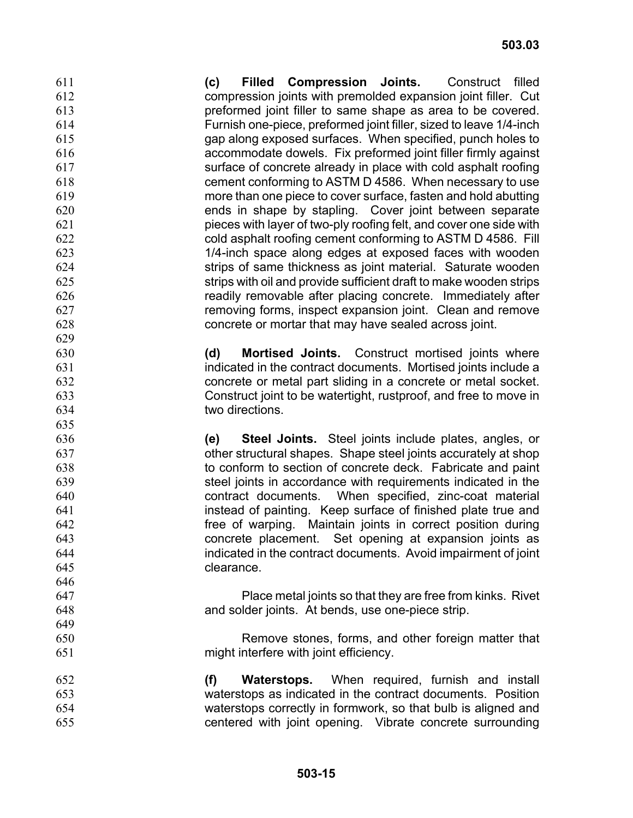**(c) Filled Compression Joints.** Construct filled compression joints with premolded expansion joint filler. Cut preformed joint filler to same shape as area to be covered. Furnish one-piece, preformed joint filler, sized to leave 1/4-inch gap along exposed surfaces. When specified, punch holes to accommodate dowels. Fix preformed joint filler firmly against surface of concrete already in place with cold asphalt roofing cement conforming to ASTM D 4586. When necessary to use more than one piece to cover surface, fasten and hold abutting ends in shape by stapling. Cover joint between separate pieces with layer of two-ply roofing felt, and cover one side with cold asphalt roofing cement conforming to ASTM D 4586. Fill 1/4-inch space along edges at exposed faces with wooden strips of same thickness as joint material. Saturate wooden strips with oil and provide sufficient draft to make wooden strips readily removable after placing concrete. Immediately after removing forms, inspect expansion joint. Clean and remove concrete or mortar that may have sealed across joint. 611 612 613 614 615 616 617 618 619 620 621 622 623 624 625 626 627 628 629 630 631 632 633 634 635 636 637 638 639 640 641 642 643 644 645 646 647 648 649 650 651 652 653 **(d) Mortised Joints.** Construct mortised joints where indicated in the contract documents. Mortised joints include a concrete or metal part sliding in a concrete or metal socket. Construct joint to be watertight, rustproof, and free to move in two directions. **(e) Steel Joints.** Steel joints include plates, angles, or other structural shapes. Shape steel joints accurately at shop to conform to section of concrete deck. Fabricate and paint steel joints in accordance with requirements indicated in the contract documents. When specified, zinc-coat material instead of painting. Keep surface of finished plate true and free of warping. Maintain joints in correct position during concrete placement. Set opening at expansion joints as indicated in the contract documents. Avoid impairment of joint clearance. Place metal joints so that they are free from kinks. Rivet and solder joints. At bends, use one-piece strip. Remove stones, forms, and other foreign matter that might interfere with joint efficiency. **(f) Waterstops.** When required, furnish and install waterstops as indicated in the contract documents. Position

654 655 waterstops correctly in formwork, so that bulb is aligned and centered with joint opening. Vibrate concrete surrounding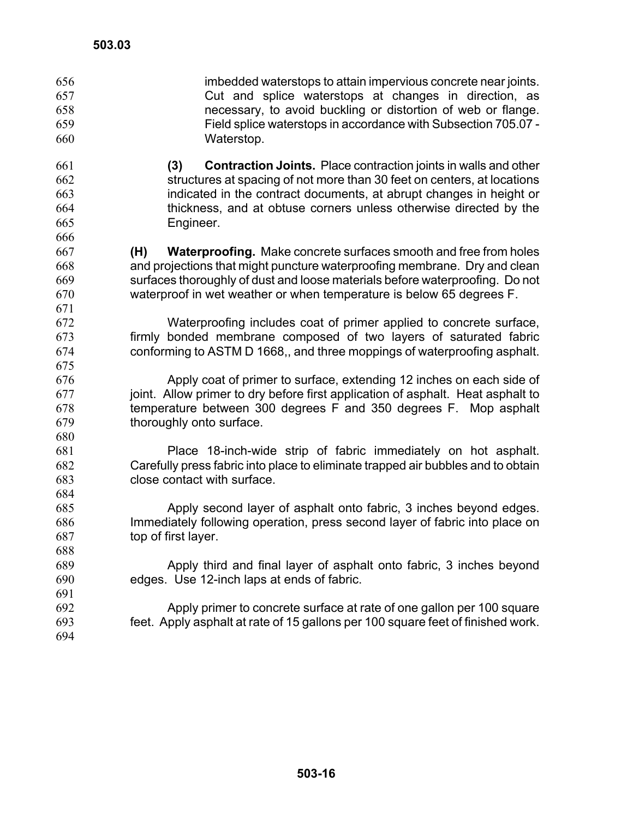| 656 | imbedded waterstops to attain impervious concrete near joints.                   |
|-----|----------------------------------------------------------------------------------|
| 657 | Cut and splice waterstops at changes in direction, as                            |
| 658 | necessary, to avoid buckling or distortion of web or flange.                     |
| 659 | Field splice waterstops in accordance with Subsection 705.07 -                   |
| 660 | Waterstop.                                                                       |
| 661 | <b>Contraction Joints.</b> Place contraction joints in walls and other<br>(3)    |
| 662 | structures at spacing of not more than 30 feet on centers, at locations          |
| 663 | indicated in the contract documents, at abrupt changes in height or              |
| 664 | thickness, and at obtuse corners unless otherwise directed by the                |
| 665 | Engineer.                                                                        |
| 666 |                                                                                  |
| 667 | <b>Waterproofing.</b> Make concrete surfaces smooth and free from holes<br>(H)   |
| 668 | and projections that might puncture waterproofing membrane. Dry and clean        |
| 669 | surfaces thoroughly of dust and loose materials before waterproofing. Do not     |
| 670 | waterproof in wet weather or when temperature is below 65 degrees F.             |
| 671 |                                                                                  |
| 672 | Waterproofing includes coat of primer applied to concrete surface,               |
| 673 | firmly bonded membrane composed of two layers of saturated fabric                |
| 674 | conforming to ASTM D 1668,, and three moppings of waterproofing asphalt.         |
| 675 |                                                                                  |
| 676 | Apply coat of primer to surface, extending 12 inches on each side of             |
| 677 | joint. Allow primer to dry before first application of asphalt. Heat asphalt to  |
| 678 | temperature between 300 degrees F and 350 degrees F. Mop asphalt                 |
| 679 | thoroughly onto surface.                                                         |
| 680 |                                                                                  |
| 681 | Place 18-inch-wide strip of fabric immediately on hot asphalt.                   |
| 682 | Carefully press fabric into place to eliminate trapped air bubbles and to obtain |
| 683 | close contact with surface.                                                      |
| 684 |                                                                                  |
| 685 | Apply second layer of asphalt onto fabric, 3 inches beyond edges.                |
| 686 | Immediately following operation, press second layer of fabric into place on      |
| 687 | top of first layer.                                                              |
| 688 |                                                                                  |
| 689 | Apply third and final layer of asphalt onto fabric, 3 inches beyond              |
| 690 | edges. Use 12-inch laps at ends of fabric.                                       |
| 691 |                                                                                  |
| 692 | Apply primer to concrete surface at rate of one gallon per 100 square            |
| 693 | feet. Apply asphalt at rate of 15 gallons per 100 square feet of finished work.  |
| 694 |                                                                                  |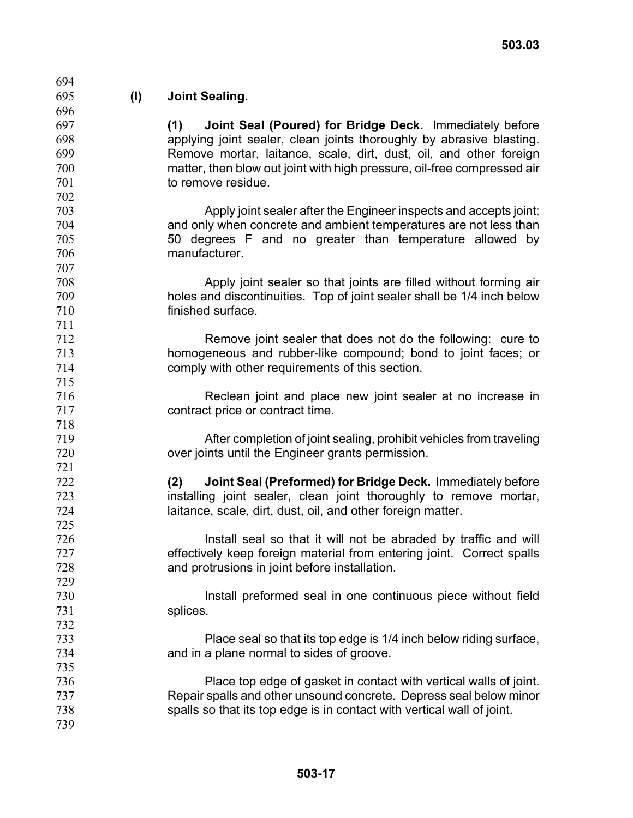695 696 697 698 699 700 701 702 703 704 705 706 707 708 709 710 711 712 713 714 715 716 717 718 719 720 721 722 723 724 725 726 727 728 729 730 731 732 733 734 735 736 737 738 739 **(I) Joint Sealing. (1) Joint Seal (Poured) for Bridge Deck.** Immediately before applying joint sealer, clean joints thoroughly by abrasive blasting. Remove mortar, laitance, scale, dirt, dust, oil, and other foreign matter, then blow out joint with high pressure, oil-free compressed air to remove residue. Apply joint sealer after the Engineer inspects and accepts joint; and only when concrete and ambient temperatures are not less than 50 degrees F and no greater than temperature allowed by manufacturer. Apply joint sealer so that joints are filled without forming air holes and discontinuities. Top of joint sealer shall be 1/4 inch below finished surface. Remove joint sealer that does not do the following: cure to homogeneous and rubber-like compound; bond to joint faces; or comply with other requirements of this section. Reclean joint and place new joint sealer at no increase in contract price or contract time. After completion of joint sealing, prohibit vehicles from traveling over joints until the Engineer grants permission. **(2) Joint Seal (Preformed) for Bridge Deck.** Immediately before installing joint sealer, clean joint thoroughly to remove mortar, laitance, scale, dirt, dust, oil, and other foreign matter. Install seal so that it will not be abraded by traffic and will effectively keep foreign material from entering joint. Correct spalls and protrusions in joint before installation. Install preformed seal in one continuous piece without field splices. Place seal so that its top edge is 1/4 inch below riding surface, and in a plane normal to sides of groove. Place top edge of gasket in contact with vertical walls of joint. Repair spalls and other unsound concrete. Depress seal below minor spalls so that its top edge is in contact with vertical wall of joint.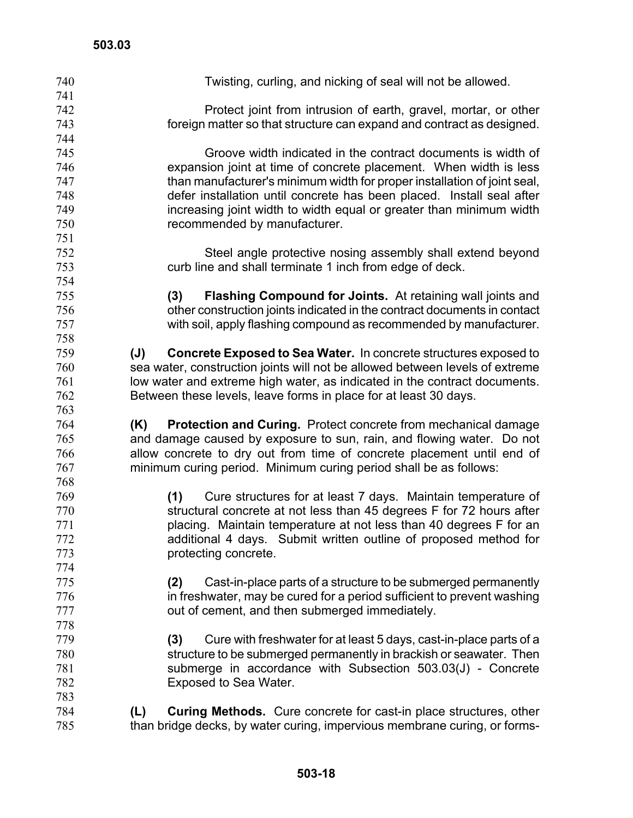| 740 | Twisting, curling, and nicking of seal will not be allowed.                  |
|-----|------------------------------------------------------------------------------|
| 741 |                                                                              |
| 742 | Protect joint from intrusion of earth, gravel, mortar, or other              |
| 743 | foreign matter so that structure can expand and contract as designed.        |
| 744 |                                                                              |
| 745 | Groove width indicated in the contract documents is width of                 |
| 746 | expansion joint at time of concrete placement. When width is less            |
| 747 | than manufacturer's minimum width for proper installation of joint seal,     |
| 748 | defer installation until concrete has been placed. Install seal after        |
| 749 | increasing joint width to width equal or greater than minimum width          |
| 750 | recommended by manufacturer.                                                 |
| 751 |                                                                              |
| 752 | Steel angle protective nosing assembly shall extend beyond                   |
| 753 | curb line and shall terminate 1 inch from edge of deck.                      |
| 754 |                                                                              |
| 755 | (3)<br><b>Flashing Compound for Joints.</b> At retaining wall joints and     |
| 756 | other construction joints indicated in the contract documents in contact     |
| 757 | with soil, apply flashing compound as recommended by manufacturer.           |
| 758 |                                                                              |
| 759 | Concrete Exposed to Sea Water. In concrete structures exposed to<br>(J)      |
|     |                                                                              |
| 760 | sea water, construction joints will not be allowed between levels of extreme |
| 761 | low water and extreme high water, as indicated in the contract documents.    |
| 762 | Between these levels, leave forms in place for at least 30 days.             |
| 763 |                                                                              |
| 764 | <b>Protection and Curing.</b> Protect concrete from mechanical damage<br>(K) |
| 765 | and damage caused by exposure to sun, rain, and flowing water. Do not        |
| 766 | allow concrete to dry out from time of concrete placement until end of       |
| 767 | minimum curing period. Minimum curing period shall be as follows:            |
| 768 |                                                                              |
| 769 | Cure structures for at least 7 days. Maintain temperature of<br>(1)          |
| 770 | structural concrete at not less than 45 degrees F for 72 hours after         |
| 771 | placing. Maintain temperature at not less than 40 degrees F for an           |
| 772 | additional 4 days. Submit written outline of proposed method for             |
| 773 | protecting concrete.                                                         |
| 774 |                                                                              |
| 775 | Cast-in-place parts of a structure to be submerged permanently<br>(2)        |
| 776 | in freshwater, may be cured for a period sufficient to prevent washing       |
| 777 | out of cement, and then submerged immediately.                               |
| 778 |                                                                              |
| 779 | Cure with freshwater for at least 5 days, cast-in-place parts of a<br>(3)    |
| 780 | structure to be submerged permanently in brackish or seawater. Then          |
| 781 | submerge in accordance with Subsection 503.03(J) - Concrete                  |
| 782 | Exposed to Sea Water.                                                        |
| 783 |                                                                              |
| 784 | <b>Curing Methods.</b> Cure concrete for cast-in place structures, other     |
| 785 | (L)                                                                          |
|     | than bridge decks, by water curing, impervious membrane curing, or forms-    |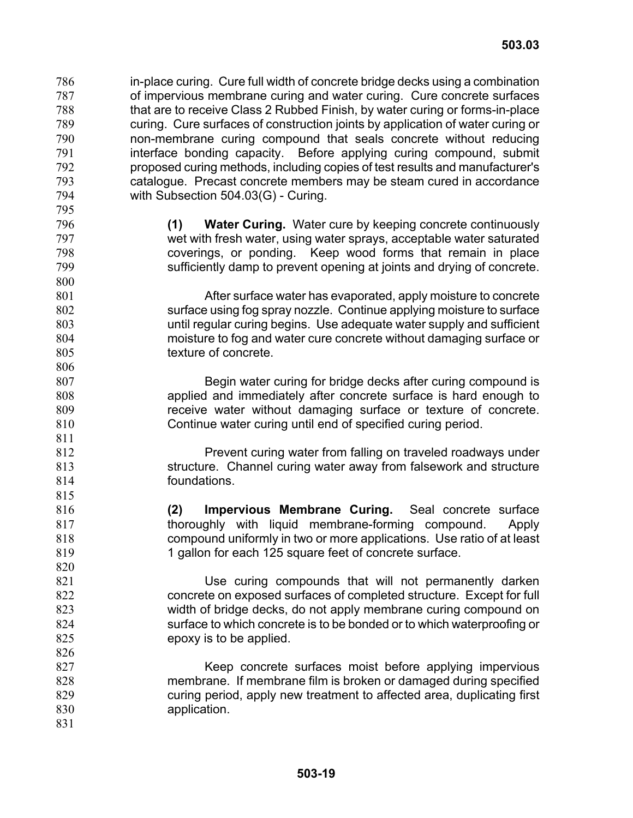in-place curing. Cure full width of concrete bridge decks using a combination of impervious membrane curing and water curing. Cure concrete surfaces that are to receive Class 2 Rubbed Finish, by water curing or forms-in-place curing. Cure surfaces of construction joints by application of water curing or non-membrane curing compound that seals concrete without reducing interface bonding capacity. Before applying curing compound, submit proposed curing methods, including copies of test results and manufacturer's catalogue. Precast concrete members may be steam cured in accordance with Subsection 504.03(G) - Curing. 786 787 788 789 790 791 792 793 794 795

796 797

**(1) Water Curing.** Water cure by keeping concrete continuously wet with fresh water, using water sprays, acceptable water saturated coverings, or ponding. Keep wood forms that remain in place sufficiently damp to prevent opening at joints and drying of concrete.

After surface water has evaporated, apply moisture to concrete surface using fog spray nozzle. Continue applying moisture to surface until regular curing begins. Use adequate water supply and sufficient moisture to fog and water cure concrete without damaging surface or texture of concrete.

Begin water curing for bridge decks after curing compound is applied and immediately after concrete surface is hard enough to receive water without damaging surface or texture of concrete. Continue water curing until end of specified curing period.

Prevent curing water from falling on traveled roadways under structure. Channel curing water away from falsework and structure foundations.

**(2) Impervious Membrane Curing.** Seal concrete surface thoroughly with liquid membrane-forming compound. Apply compound uniformly in two or more applications. Use ratio of at least 1 gallon for each 125 square feet of concrete surface.

Use curing compounds that will not permanently darken concrete on exposed surfaces of completed structure. Except for full width of bridge decks, do not apply membrane curing compound on surface to which concrete is to be bonded or to which waterproofing or epoxy is to be applied.

827 828 829 830 831 Keep concrete surfaces moist before applying impervious membrane. If membrane film is broken or damaged during specified curing period, apply new treatment to affected area, duplicating first application.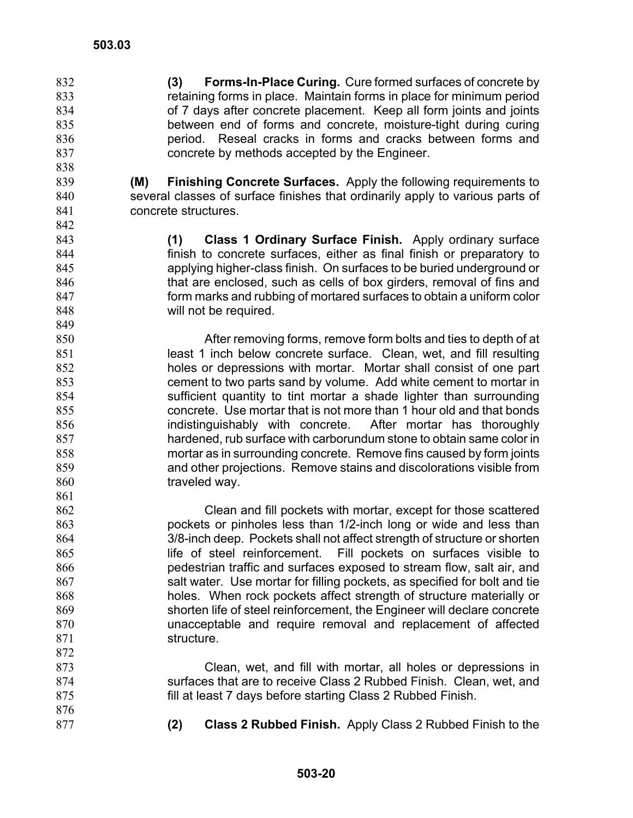**(3) Forms-In-Place Curing.** Cure formed surfaces of concrete by retaining forms in place. Maintain forms in place for minimum period of 7 days after concrete placement. Keep all form joints and joints between end of forms and concrete, moisture-tight during curing period. Reseal cracks in forms and cracks between forms and concrete by methods accepted by the Engineer. 832 833 834 835 836 837

- 839 840 841 **(M) Finishing Concrete Surfaces.** Apply the following requirements to several classes of surface finishes that ordinarily apply to various parts of concrete structures.
	- **(1) Class 1 Ordinary Surface Finish.** Apply ordinary surface finish to concrete surfaces, either as final finish or preparatory to applying higher-class finish. On surfaces to be buried underground or that are enclosed, such as cells of box girders, removal of fins and form marks and rubbing of mortared surfaces to obtain a uniform color will not be required.
- 850 851 852 853 854 855 856 857 858 859 860 861 After removing forms, remove form bolts and ties to depth of at least 1 inch below concrete surface. Clean, wet, and fill resulting holes or depressions with mortar. Mortar shall consist of one part cement to two parts sand by volume. Add white cement to mortar in sufficient quantity to tint mortar a shade lighter than surrounding concrete. Use mortar that is not more than 1 hour old and that bonds indistinguishably with concrete. After mortar has thoroughly hardened, rub surface with carborundum stone to obtain same color in mortar as in surrounding concrete. Remove fins caused by form joints and other projections. Remove stains and discolorations visible from traveled way.
	- Clean and fill pockets with mortar, except for those scattered pockets or pinholes less than 1/2-inch long or wide and less than 3/8-inch deep. Pockets shall not affect strength of structure or shorten life of steel reinforcement. Fill pockets on surfaces visible to pedestrian traffic and surfaces exposed to stream flow, salt air, and salt water. Use mortar for filling pockets, as specified for bolt and tie holes. When rock pockets affect strength of structure materially or shorten life of steel reinforcement, the Engineer will declare concrete unacceptable and require removal and replacement of affected structure.
		- Clean, wet, and fill with mortar, all holes or depressions in surfaces that are to receive Class 2 Rubbed Finish. Clean, wet, and fill at least 7 days before starting Class 2 Rubbed Finish.
- 877
- **(2) Class 2 Rubbed Finish.** Apply Class 2 Rubbed Finish to the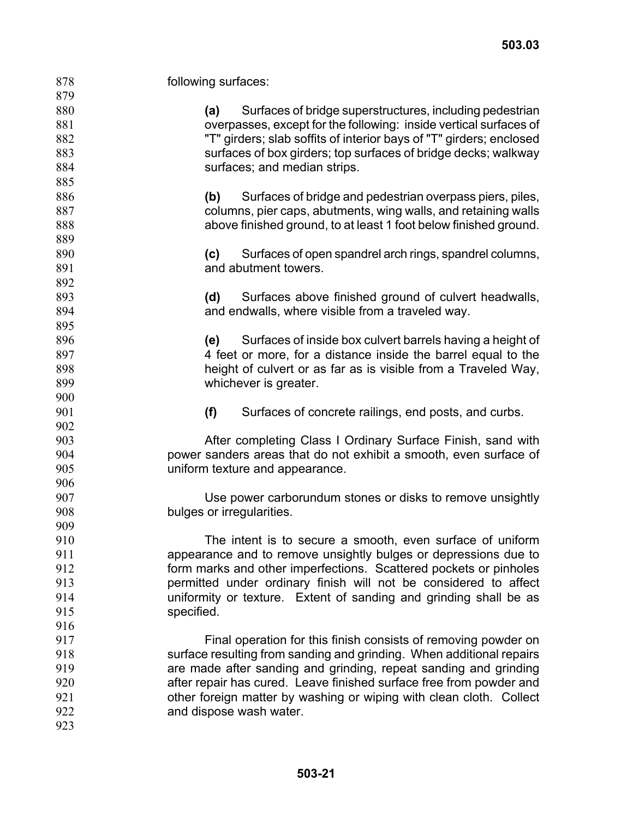| 878 | following surfaces:                                                  |
|-----|----------------------------------------------------------------------|
| 879 |                                                                      |
| 880 | Surfaces of bridge superstructures, including pedestrian<br>(a)      |
| 881 | overpasses, except for the following: inside vertical surfaces of    |
| 882 | "T" girders; slab soffits of interior bays of "T" girders; enclosed  |
| 883 | surfaces of box girders; top surfaces of bridge decks; walkway       |
| 884 | surfaces; and median strips.                                         |
| 885 |                                                                      |
| 886 | Surfaces of bridge and pedestrian overpass piers, piles,<br>(b)      |
| 887 | columns, pier caps, abutments, wing walls, and retaining walls       |
| 888 | above finished ground, to at least 1 foot below finished ground.     |
| 889 |                                                                      |
| 890 |                                                                      |
|     | Surfaces of open spandrel arch rings, spandrel columns,<br>(c)       |
| 891 | and abutment towers.                                                 |
| 892 |                                                                      |
| 893 | Surfaces above finished ground of culvert headwalls,<br>(d)          |
| 894 | and endwalls, where visible from a traveled way.                     |
| 895 |                                                                      |
| 896 | Surfaces of inside box culvert barrels having a height of<br>(e)     |
| 897 | 4 feet or more, for a distance inside the barrel equal to the        |
| 898 | height of culvert or as far as is visible from a Traveled Way,       |
| 899 | whichever is greater.                                                |
| 900 |                                                                      |
| 901 | (f)<br>Surfaces of concrete railings, end posts, and curbs.          |
| 902 |                                                                      |
| 903 | After completing Class I Ordinary Surface Finish, sand with          |
| 904 | power sanders areas that do not exhibit a smooth, even surface of    |
| 905 | uniform texture and appearance.                                      |
| 906 |                                                                      |
| 907 | Use power carborundum stones or disks to remove unsightly            |
| 908 | bulges or irregularities.                                            |
| 909 |                                                                      |
| 910 | The intent is to secure a smooth, even surface of uniform            |
| 911 | appearance and to remove unsightly bulges or depressions due to      |
| 912 | form marks and other imperfections. Scattered pockets or pinholes    |
| 913 | permitted under ordinary finish will not be considered to affect     |
| 914 | uniformity or texture. Extent of sanding and grinding shall be as    |
| 915 | specified.                                                           |
| 916 |                                                                      |
| 917 | Final operation for this finish consists of removing powder on       |
| 918 | surface resulting from sanding and grinding. When additional repairs |
| 919 | are made after sanding and grinding, repeat sanding and grinding     |
| 920 | after repair has cured. Leave finished surface free from powder and  |
| 921 | other foreign matter by washing or wiping with clean cloth. Collect  |
| 922 | and dispose wash water.                                              |
| 923 |                                                                      |
|     |                                                                      |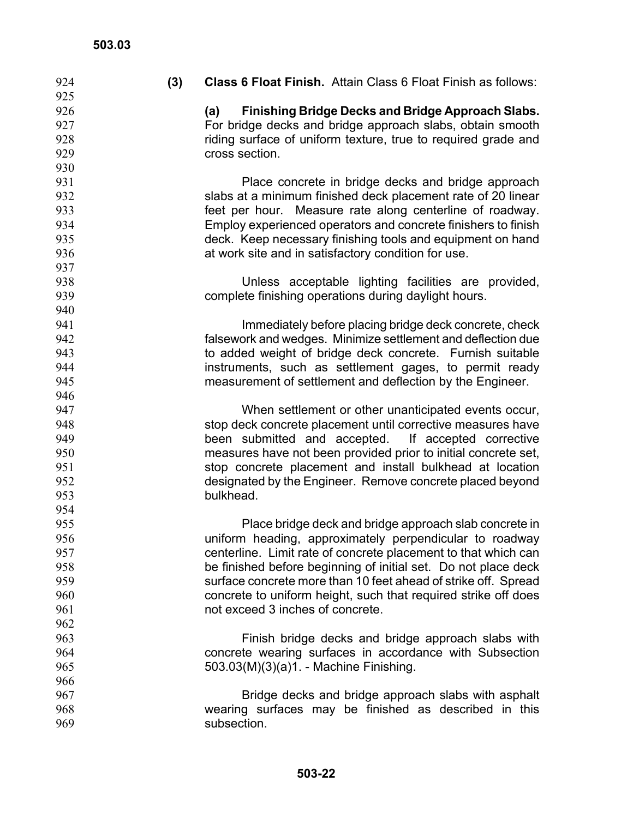924 **(3) Class 6 Float Finish.** Attain Class 6 Float Finish as follows: 925 926 927 928 929 930 931 932 933 934 935 936 937 938 939 940 941 942 943 944 945 946 947 948 949 950 951 952 953 954 955 956 957 958 959 960 961 962 963 964 965 966 967 968 969 **(a) Finishing Bridge Decks and Bridge Approach Slabs.** For bridge decks and bridge approach slabs, obtain smooth riding surface of uniform texture, true to required grade and cross section. Place concrete in bridge decks and bridge approach slabs at a minimum finished deck placement rate of 20 linear feet per hour. Measure rate along centerline of roadway. Employ experienced operators and concrete finishers to finish deck. Keep necessary finishing tools and equipment on hand at work site and in satisfactory condition for use. Unless acceptable lighting facilities are provided, complete finishing operations during daylight hours. Immediately before placing bridge deck concrete, check falsework and wedges. Minimize settlement and deflection due to added weight of bridge deck concrete. Furnish suitable instruments, such as settlement gages, to permit ready measurement of settlement and deflection by the Engineer. When settlement or other unanticipated events occur, stop deck concrete placement until corrective measures have been submitted and accepted. If accepted corrective measures have not been provided prior to initial concrete set, stop concrete placement and install bulkhead at location designated by the Engineer. Remove concrete placed beyond bulkhead. Place bridge deck and bridge approach slab concrete in uniform heading, approximately perpendicular to roadway centerline. Limit rate of concrete placement to that which can be finished before beginning of initial set. Do not place deck surface concrete more than 10 feet ahead of strike off. Spread concrete to uniform height, such that required strike off does not exceed 3 inches of concrete. Finish bridge decks and bridge approach slabs with concrete wearing surfaces in accordance with Subsection 503.03(M)(3)(a)1. - Machine Finishing. Bridge decks and bridge approach slabs with asphalt wearing surfaces may be finished as described in this subsection.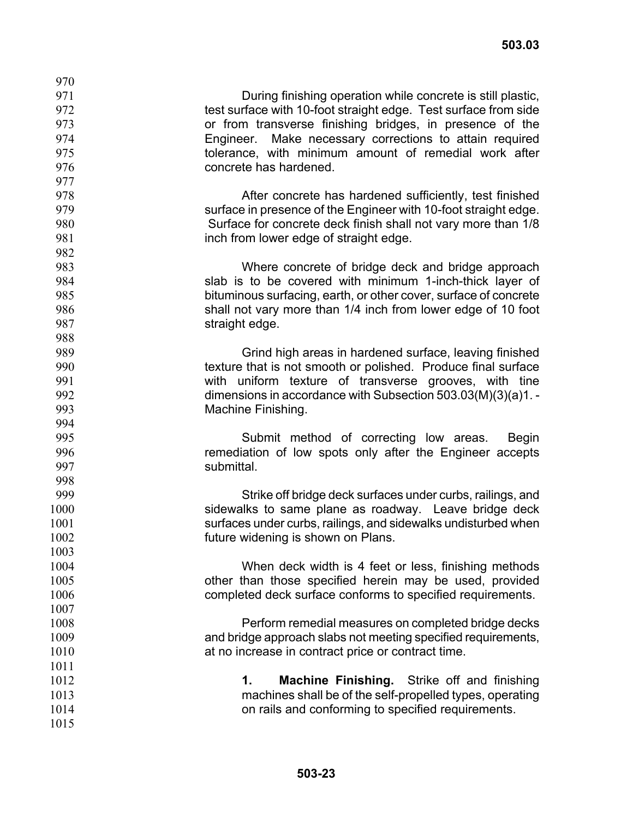| 970  |                                                                     |
|------|---------------------------------------------------------------------|
| 971  | During finishing operation while concrete is still plastic,         |
| 972  | test surface with 10-foot straight edge. Test surface from side     |
| 973  | or from transverse finishing bridges, in presence of the            |
| 974  | Engineer. Make necessary corrections to attain required             |
| 975  | tolerance, with minimum amount of remedial work after               |
| 976  | concrete has hardened.                                              |
| 977  |                                                                     |
| 978  | After concrete has hardened sufficiently, test finished             |
| 979  | surface in presence of the Engineer with 10-foot straight edge.     |
| 980  | Surface for concrete deck finish shall not vary more than 1/8       |
| 981  | inch from lower edge of straight edge.                              |
| 982  |                                                                     |
| 983  | Where concrete of bridge deck and bridge approach                   |
| 984  | slab is to be covered with minimum 1-inch-thick layer of            |
| 985  | bituminous surfacing, earth, or other cover, surface of concrete    |
| 986  | shall not vary more than 1/4 inch from lower edge of 10 foot        |
| 987  | straight edge.                                                      |
| 988  |                                                                     |
| 989  | Grind high areas in hardened surface, leaving finished              |
| 990  | texture that is not smooth or polished. Produce final surface       |
| 991  | with uniform texture of transverse grooves, with tine               |
| 992  | dimensions in accordance with Subsection $503.03(M)(3)(a)1. -$      |
| 993  | Machine Finishing.                                                  |
| 994  |                                                                     |
| 995  | Submit method of correcting low areas.<br>Begin                     |
| 996  | remediation of low spots only after the Engineer accepts            |
| 997  | submittal.                                                          |
| 998  |                                                                     |
| 999  | Strike off bridge deck surfaces under curbs, railings, and          |
| 1000 | sidewalks to same plane as roadway. Leave bridge deck               |
| 1001 | surfaces under curbs, railings, and sidewalks undisturbed when      |
| 1002 | future widening is shown on Plans.                                  |
| 1003 |                                                                     |
| 1004 | When deck width is 4 feet or less, finishing methods                |
| 1005 | other than those specified herein may be used, provided             |
| 1006 | completed deck surface conforms to specified requirements.          |
| 1007 |                                                                     |
| 1008 | Perform remedial measures on completed bridge decks                 |
| 1009 | and bridge approach slabs not meeting specified requirements,       |
| 1010 | at no increase in contract price or contract time.                  |
| 1011 |                                                                     |
| 1012 | $\mathbf 1$ .<br><b>Machine Finishing.</b> Strike off and finishing |
| 1013 | machines shall be of the self-propelled types, operating            |
| 1014 | on rails and conforming to specified requirements.                  |
| 1015 |                                                                     |
|      |                                                                     |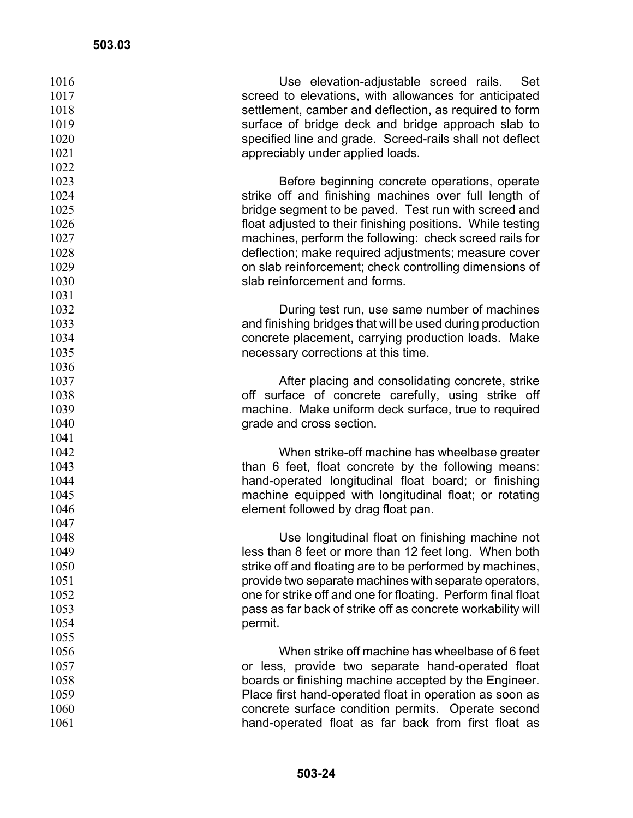| 1016 | Use elevation-adjustable screed rails.<br>Set                |
|------|--------------------------------------------------------------|
| 1017 | screed to elevations, with allowances for anticipated        |
| 1018 | settlement, camber and deflection, as required to form       |
| 1019 | surface of bridge deck and bridge approach slab to           |
| 1020 | specified line and grade. Screed-rails shall not deflect     |
| 1021 | appreciably under applied loads.                             |
| 1022 |                                                              |
| 1023 | Before beginning concrete operations, operate                |
| 1024 | strike off and finishing machines over full length of        |
| 1025 | bridge segment to be paved. Test run with screed and         |
| 1026 | float adjusted to their finishing positions. While testing   |
| 1027 | machines, perform the following: check screed rails for      |
| 1028 | deflection; make required adjustments; measure cover         |
| 1029 | on slab reinforcement; check controlling dimensions of       |
| 1030 | slab reinforcement and forms.                                |
| 1031 |                                                              |
| 1032 | During test run, use same number of machines                 |
| 1033 | and finishing bridges that will be used during production    |
| 1034 | concrete placement, carrying production loads. Make          |
| 1035 | necessary corrections at this time.                          |
| 1036 |                                                              |
| 1037 | After placing and consolidating concrete, strike             |
| 1038 | off surface of concrete carefully, using strike off          |
| 1039 | machine. Make uniform deck surface, true to required         |
| 1040 | grade and cross section.                                     |
| 1041 |                                                              |
| 1042 | When strike-off machine has wheelbase greater                |
| 1043 | than 6 feet, float concrete by the following means:          |
| 1044 | hand-operated longitudinal float board; or finishing         |
| 1045 | machine equipped with longitudinal float; or rotating        |
| 1046 | element followed by drag float pan.                          |
| 1047 |                                                              |
| 1048 | Use longitudinal float on finishing machine not              |
| 1049 | less than 8 feet or more than 12 feet long. When both        |
| 1050 | strike off and floating are to be performed by machines,     |
| 1051 | provide two separate machines with separate operators,       |
| 1052 | one for strike off and one for floating. Perform final float |
| 1053 | pass as far back of strike off as concrete workability will  |
| 1054 | permit.                                                      |
| 1055 |                                                              |
| 1056 | When strike off machine has wheelbase of 6 feet              |
| 1057 | or less, provide two separate hand-operated float            |
| 1058 | boards or finishing machine accepted by the Engineer.        |
| 1059 | Place first hand-operated float in operation as soon as      |
| 1060 | concrete surface condition permits. Operate second           |
| 1061 | hand-operated float as far back from first float as          |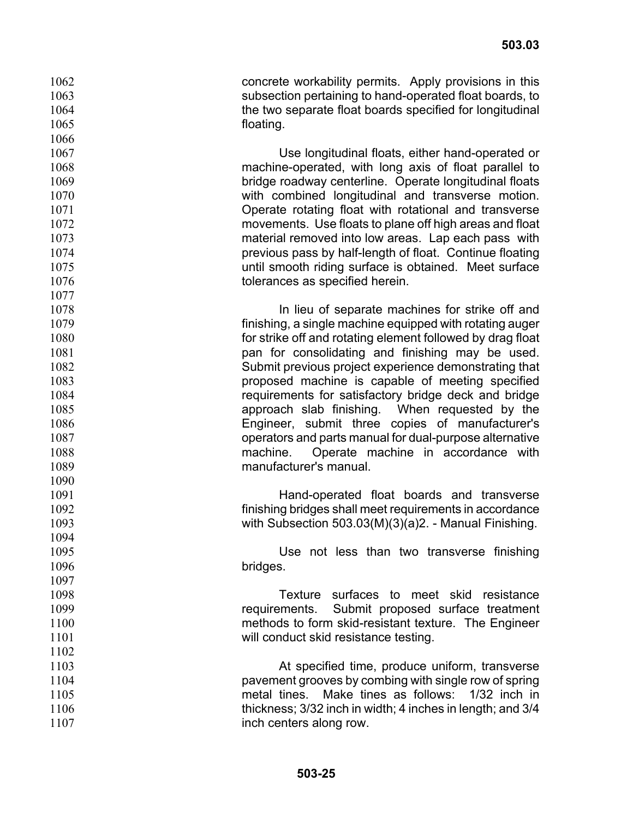concrete workability permits. Apply provisions in this subsection pertaining to hand-operated float boards, to the two separate float boards specified for longitudinal floating.

Use longitudinal floats, either hand-operated or machine-operated, with long axis of float parallel to bridge roadway centerline. Operate longitudinal floats with combined longitudinal and transverse motion. Operate rotating float with rotational and transverse movements. Use floats to plane off high areas and float material removed into low areas. Lap each pass with previous pass by half-length of float. Continue floating until smooth riding surface is obtained. Meet surface tolerances as specified herein.

In lieu of separate machines for strike off and finishing, a single machine equipped with rotating auger for strike off and rotating element followed by drag float pan for consolidating and finishing may be used. Submit previous project experience demonstrating that proposed machine is capable of meeting specified requirements for satisfactory bridge deck and bridge approach slab finishing. When requested by the Engineer, submit three copies of manufacturer's operators and parts manual for dual-purpose alternative machine. Operate machine in accordance with manufacturer's manual.

Hand-operated float boards and transverse finishing bridges shall meet requirements in accordance with Subsection 503.03(M)(3)(a)2. - Manual Finishing.

Use not less than two transverse finishing bridges.

Texture surfaces to meet skid resistance requirements. Submit proposed surface treatment methods to form skid-resistant texture. The Engineer will conduct skid resistance testing.

At specified time, produce uniform, transverse pavement grooves by combing with single row of spring metal tines. Make tines as follows: 1/32 inch in thickness; 3/32 inch in width; 4 inches in length; and 3/4 inch centers along row.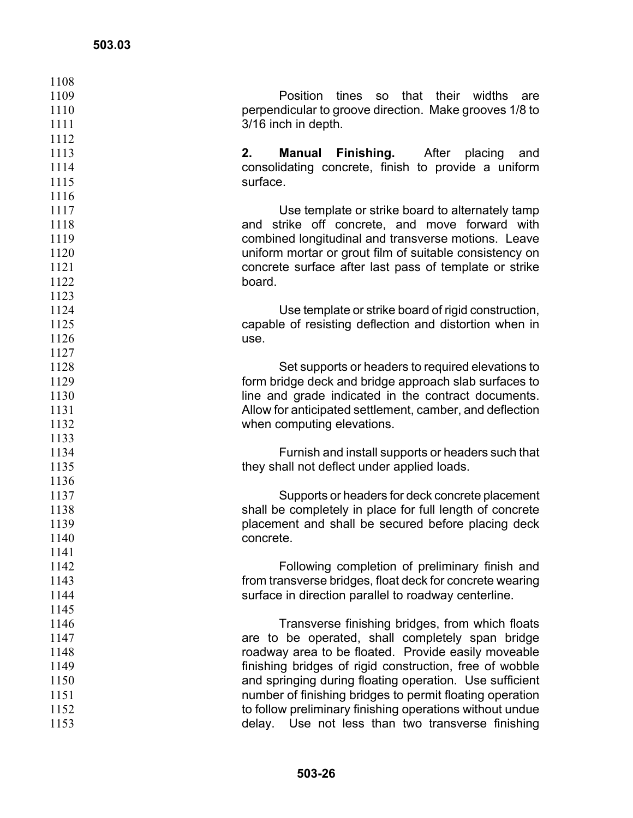| 1108 |                                                          |
|------|----------------------------------------------------------|
| 1109 | Position<br>tines so that their widths<br>are            |
| 1110 | perpendicular to groove direction. Make grooves 1/8 to   |
| 1111 | 3/16 inch in depth.                                      |
| 1112 |                                                          |
| 1113 | 2.<br>After<br>Manual Finishing.<br>placing<br>and       |
| 1114 | consolidating concrete, finish to provide a uniform      |
| 1115 | surface.                                                 |
| 1116 |                                                          |
|      |                                                          |
| 1117 | Use template or strike board to alternately tamp         |
| 1118 | strike off concrete, and move forward with<br>and        |
| 1119 | combined longitudinal and transverse motions. Leave      |
| 1120 | uniform mortar or grout film of suitable consistency on  |
| 1121 | concrete surface after last pass of template or strike   |
| 1122 | board.                                                   |
| 1123 |                                                          |
| 1124 | Use template or strike board of rigid construction,      |
| 1125 | capable of resisting deflection and distortion when in   |
| 1126 | use.                                                     |
| 1127 |                                                          |
| 1128 | Set supports or headers to required elevations to        |
| 1129 | form bridge deck and bridge approach slab surfaces to    |
| 1130 | line and grade indicated in the contract documents.      |
| 1131 | Allow for anticipated settlement, camber, and deflection |
| 1132 | when computing elevations.                               |
| 1133 |                                                          |
| 1134 | Furnish and install supports or headers such that        |
| 1135 | they shall not deflect under applied loads.              |
| 1136 |                                                          |
| 1137 | Supports or headers for deck concrete placement          |
| 1138 | shall be completely in place for full length of concrete |
| 1139 | placement and shall be secured before placing deck       |
| 1140 | concrete.                                                |
| 1141 |                                                          |
| 1142 | Following completion of preliminary finish and           |
| 1143 | from transverse bridges, float deck for concrete wearing |
| 1144 | surface in direction parallel to roadway centerline.     |
| 1145 |                                                          |
| 1146 | Transverse finishing bridges, from which floats          |
| 1147 | are to be operated, shall completely span bridge         |
| 1148 | roadway area to be floated. Provide easily moveable      |
| 1149 | finishing bridges of rigid construction, free of wobble  |
| 1150 | and springing during floating operation. Use sufficient  |
| 1151 | number of finishing bridges to permit floating operation |
|      |                                                          |
| 1152 | to follow preliminary finishing operations without undue |
| 1153 | delay. Use not less than two transverse finishing        |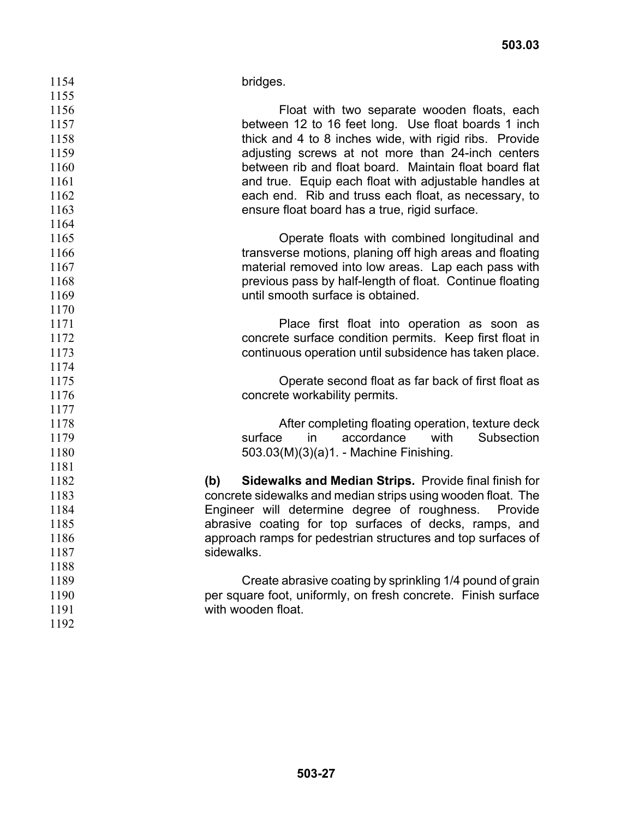| 1154               | bridges.                                                      |
|--------------------|---------------------------------------------------------------|
| 1155               |                                                               |
| 1156               | Float with two separate wooden floats, each                   |
| 1157               | between 12 to 16 feet long. Use float boards 1 inch           |
| 1158               | thick and 4 to 8 inches wide, with rigid ribs. Provide        |
| 1159               | adjusting screws at not more than 24-inch centers             |
| 1160               | between rib and float board. Maintain float board flat        |
| 1161               | and true. Equip each float with adjustable handles at         |
| 1162               | each end. Rib and truss each float, as necessary, to          |
| 1163               | ensure float board has a true, rigid surface.                 |
| 1164               |                                                               |
| 1165               | Operate floats with combined longitudinal and                 |
| 1166               | transverse motions, planing off high areas and floating       |
| 1167               | material removed into low areas. Lap each pass with           |
| 1168               | previous pass by half-length of float. Continue floating      |
| 1169               | until smooth surface is obtained.                             |
| 1170               |                                                               |
| 1171               | Place first float into operation as soon as                   |
| 1172               | concrete surface condition permits. Keep first float in       |
| 1173               | continuous operation until subsidence has taken place.        |
| 1174               |                                                               |
| 1175               | Operate second float as far back of first float as            |
| 1176               | concrete workability permits.                                 |
| 1177               |                                                               |
| 1178               | After completing floating operation, texture deck             |
| 1179               | accordance<br>surface<br>with<br>Subsection<br>$\mathsf{in}$  |
| 1180               | 503.03(M)(3)(a)1. - Machine Finishing.                        |
| 1181               |                                                               |
| 1182<br>(b)        | <b>Sidewalks and Median Strips.</b> Provide final finish for  |
| 1183               | concrete sidewalks and median strips using wooden float. The  |
| 1184               | Engineer will determine degree of roughness.<br>Provide       |
| 1185               | abrasive coating for top surfaces of decks, ramps, and        |
| 1186               | approach ramps for pedestrian structures and top surfaces of  |
| 1187<br>sidewalks. |                                                               |
| 1188               |                                                               |
| 1189               | Create abrasive coating by sprinkling 1/4 pound of grain      |
| 1190               | per square foot, uniformly, on fresh concrete. Finish surface |
| 1191               | with wooden float.                                            |
| 1192               |                                                               |